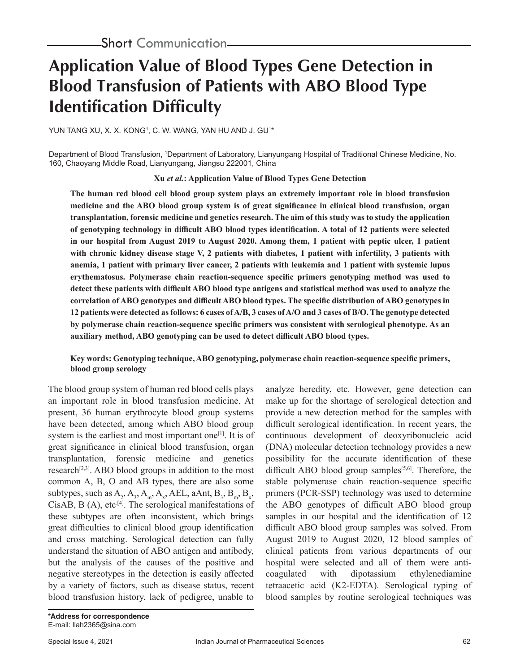# **Application Value of Blood Types Gene Detection in Blood Transfusion of Patients with ABO Blood Type Identification Difficulty**

YUN TANG XU, X. X. KONGʻ, C. W. WANG, YAN HU AND J. GUʻ\*

Department of Blood Transfusion, <sup>1</sup>Department of Laboratory, Lianyungang Hospital of Traditional Chinese Medicine, No. 160, Chaoyang Middle Road, Lianyungang, Jiangsu 222001, China

**Xu** *et al.***: Application Value of Blood Types Gene Detection**

**The human red blood cell blood group system plays an extremely important role in blood transfusion medicine and the ABO blood group system is of great significance in clinical blood transfusion, organ transplantation, forensic medicine and genetics research. The aim of this study was to study the application of genotyping technology in difficult ABO blood types identification. A total of 12 patients were selected in our hospital from August 2019 to August 2020. Among them, 1 patient with peptic ulcer, 1 patient with chronic kidney disease stage V, 2 patients with diabetes, 1 patient with infertility, 3 patients with anemia, 1 patient with primary liver cancer, 2 patients with leukemia and 1 patient with systemic lupus erythematosus. Polymerase chain reaction-sequence specific primers genotyping method was used to detect these patients with difficult ABO blood type antigens and statistical method was used to analyze the correlation of ABO genotypes and difficult ABO blood types. The specific distribution of ABO genotypes in 12 patients were detected as follows: 6 cases of A/B, 3 cases of A/O and 3 cases of B/O. The genotype detected by polymerase chain reaction-sequence specific primers was consistent with serological phenotype. As an auxiliary method, ABO genotyping can be used to detect difficult ABO blood types.**

## **Key words: Genotyping technique, ABO genotyping, polymerase chain reaction-sequence specific primers, blood group serology**

The blood group system of human red blood cells plays an important role in blood transfusion medicine. At present, 36 human erythrocyte blood group systems have been detected, among which ABO blood group system is the earliest and most important one<sup>[1]</sup>. It is of great significance in clinical blood transfusion, organ transplantation, forensic medicine and genetics research<sup>[2,3]</sup>. ABO blood groups in addition to the most common A, B, O and AB types, there are also some subtypes, such as  $A_2$ ,  $A_3$ ,  $A_m$ ,  $A_x$ , AEL, aAnt,  $B_3$ ,  $B_m$ ,  $B_x$ , CisAB,  $B(A)$ , etc<sup>[4]</sup>. The serological manifestations of these subtypes are often inconsistent, which brings great difficulties to clinical blood group identification and cross matching. Serological detection can fully understand the situation of ABO antigen and antibody, but the analysis of the causes of the positive and negative stereotypes in the detection is easily affected by a variety of factors, such as disease status, recent blood transfusion history, lack of pedigree, unable to

analyze heredity, etc. However, gene detection can make up for the shortage of serological detection and provide a new detection method for the samples with difficult serological identification. In recent years, the continuous development of deoxyribonucleic acid (DNA) molecular detection technology provides a new possibility for the accurate identification of these difficult ABO blood group samples<sup>[5,6]</sup>. Therefore, the stable polymerase chain reaction-sequence specific primers (PCR-SSP) technology was used to determine the ABO genotypes of difficult ABO blood group samples in our hospital and the identification of 12 difficult ABO blood group samples was solved. From August 2019 to August 2020, 12 blood samples of clinical patients from various departments of our hospital were selected and all of them were anticoagulated with dipotassium ethylenediamine tetraacetic acid (K2-EDTA). Serological typing of blood samples by routine serological techniques was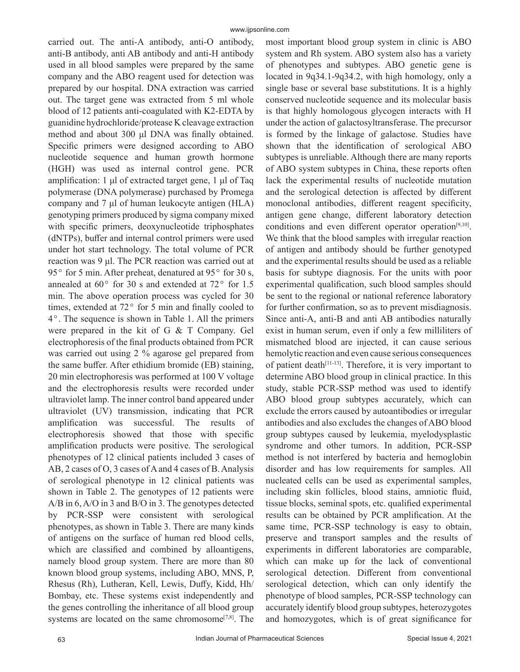carried out. The anti-A antibody, anti-O antibody, anti-B antibody, anti AB antibody and anti-H antibody used in all blood samples were prepared by the same company and the ABO reagent used for detection was prepared by our hospital. DNA extraction was carried out. The target gene was extracted from 5 ml whole blood of 12 patients anti-coagulated with K2-EDTA by guanidine hydrochloride/protease K cleavage extraction method and about 300 μl DNA was finally obtained. Specific primers were designed according to ABO nucleotide sequence and human growth hormone (HGH) was used as internal control gene. PCR amplification: 1 μl of extracted target gene, 1 μl of Taq polymerase (DNA polymerase) purchased by Promega company and 7 μl of human leukocyte antigen (HLA) genotyping primers produced by sigma company mixed with specific primers, deoxynucleotide triphosphates (dNTPs), buffer and internal control primers were used under hot start technology. The total volume of PCR reaction was 9 μl. The PCR reaction was carried out at 95 $\degree$  for 5 min. After preheat, denatured at 95 $\degree$  for 30 s, annealed at  $60^{\circ}$  for 30 s and extended at  $72^{\circ}$  for 1.5 min. The above operation process was cycled for 30 times, extended at  $72^{\circ}$  for 5 min and finally cooled to 4. The sequence is shown in Table 1. All the primers were prepared in the kit of G & T Company. Gel electrophoresis of the final products obtained from PCR was carried out using 2 % agarose gel prepared from the same buffer. After ethidium bromide (EB) staining, 20 min electrophoresis was performed at 100 V voltage and the electrophoresis results were recorded under ultraviolet lamp. The inner control band appeared under ultraviolet (UV) transmission, indicating that PCR amplification was successful. The results of electrophoresis showed that those with specific amplification products were positive. The serological phenotypes of 12 clinical patients included 3 cases of AB, 2 cases of O, 3 cases of A and 4 cases of B. Analysis of serological phenotype in 12 clinical patients was shown in Table 2. The genotypes of 12 patients were A/B in 6, A/O in 3 and B/O in 3. The genotypes detected by PCR-SSP were consistent with serological phenotypes, as shown in Table 3. There are many kinds of antigens on the surface of human red blood cells, which are classified and combined by alloantigens, namely blood group system. There are more than 80 known blood group systems, including ABO, MNS, P, Rhesus (Rh), Lutheran, Kell, Lewis, Duffy, Kidd, Hh/ Bombay, etc. These systems exist independently and the genes controlling the inheritance of all blood group systems are located on the same chromosome<sup>[7,8]</sup>. The

63

system and Rh system. ABO system also has a variety of phenotypes and subtypes. ABO genetic gene is located in 9q34.1-9q34.2, with high homology, only a single base or several base substitutions. It is a highly conserved nucleotide sequence and its molecular basis is that highly homologous glycogen interacts with H under the action of galactosyltransferase. The precursor is formed by the linkage of galactose. Studies have shown that the identification of serological ABO subtypes is unreliable. Although there are many reports of ABO system subtypes in China, these reports often lack the experimental results of nucleotide mutation and the serological detection is affected by different monoclonal antibodies, different reagent specificity, antigen gene change, different laboratory detection conditions and even different operator operation<sup>[9,10]</sup>. We think that the blood samples with irregular reaction of antigen and antibody should be further genotyped and the experimental results should be used as a reliable basis for subtype diagnosis. For the units with poor experimental qualification, such blood samples should be sent to the regional or national reference laboratory for further confirmation, so as to prevent misdiagnosis. Since anti-A, anti-B and anti AB antibodies naturally exist in human serum, even if only a few milliliters of mismatched blood are injected, it can cause serious hemolytic reaction and even cause serious consequences of patient death<sup>[11-13]</sup>. Therefore, it is very important to determine ABO blood group in clinical practice. In this study, stable PCR-SSP method was used to identify ABO blood group subtypes accurately, which can exclude the errors caused by autoantibodies or irregular antibodies and also excludes the changes of ABO blood group subtypes caused by leukemia, myelodysplastic syndrome and other tumors. In addition, PCR-SSP method is not interfered by bacteria and hemoglobin disorder and has low requirements for samples. All nucleated cells can be used as experimental samples, including skin follicles, blood stains, amniotic fluid, tissue blocks, seminal spots, etc. qualified experimental results can be obtained by PCR amplification. At the same time, PCR-SSP technology is easy to obtain, preserve and transport samples and the results of experiments in different laboratories are comparable, which can make up for the lack of conventional serological detection. Different from conventional serological detection, which can only identify the phenotype of blood samples, PCR-SSP technology can accurately identify blood group subtypes, heterozygotes and homozygotes, which is of great significance for

most important blood group system in clinic is ABO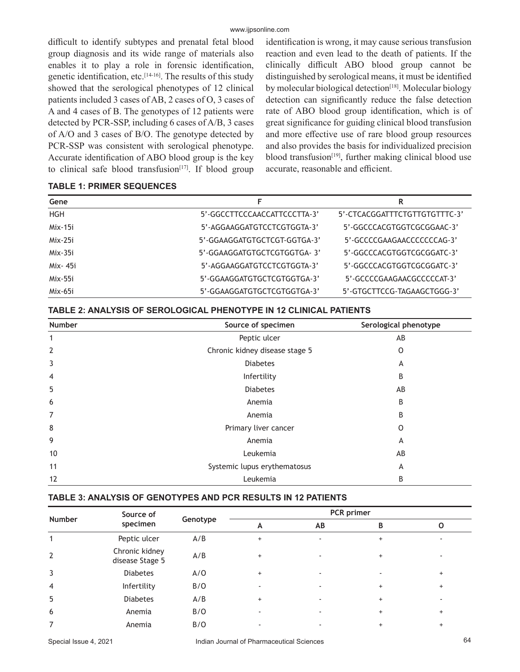### www.ijpsonline.com

difficult to identify subtypes and prenatal fetal blood group diagnosis and its wide range of materials also enables it to play a role in forensic identification, genetic identification, etc.<sup>[14-16]</sup>. The results of this study showed that the serological phenotypes of 12 clinical patients included 3 cases of AB, 2 cases of O, 3 cases of A and 4 cases of B. The genotypes of 12 patients were detected by PCR-SSP, including 6 cases of A/B, 3 cases of A/O and 3 cases of B/O. The genotype detected by PCR-SSP was consistent with serological phenotype. Accurate identification of ABO blood group is the key to clinical safe blood transfusion $[17]$ . If blood group identification is wrong, it may cause serious transfusion reaction and even lead to the death of patients. If the clinically difficult ABO blood group cannot be distinguished by serological means, it must be identified by molecular biological detection<sup>[18]</sup>. Molecular biology detection can significantly reduce the false detection rate of ABO blood group identification, which is of great significance for guiding clinical blood transfusion and more effective use of rare blood group resources and also provides the basis for individualized precision blood transfusion $[19]$ , further making clinical blood use accurate, reasonable and efficient.

## **TABLE 1: PRIMER SEQUENCES**

| Gene       | F                            | R                             |
|------------|------------------------------|-------------------------------|
| <b>HGH</b> | 5'-GGCCTTCCCAACCATTCCCTTA-3' | 5'-CTCACGGATTTCTGTTGTGTTTC-3' |
| $Mix-15i$  | 5'-AGGAAGGATGTCCTCGTGGTA-3'  | 5'-GGCCCACGTGGTCGCGGAAC-3'    |
| $Mix-25i$  | 5'-GGAAGGATGTGCTCGT-GGTGA-3' | 5'-GCCCCGAAGAACCCCCCCAG-3'    |
| $Mix-35i$  | 5'-GGAAGGATGTGCTCGTGGTGA-3'  | 5'-GGCCCACGTGGTCGCGGATC-3'    |
| Mix- 45i   | 5'-AGGAAGGATGTCCTCGTGGTA-3'  | 5'-GGCCCACGTGGTCGCGGATC-3'    |
| Mix-55i    | 5'-GGAAGGATGTGCTCGTGGTGA-3'  | 5'-GCCCCGAAGAACGCCCCCAT-3'    |
| Mix-65i    | 5'-GGAAGGATGTGCTCGTGGTGA-3'  | 5'-GTGCTTCCG-TAGAAGCTGGG-3'   |

| TABLE 2: ANALYSIS OF SEROLOGICAL PHENOTYPE IN 12 CLINICAL PATIENTS |  |  |  |  |
|--------------------------------------------------------------------|--|--|--|--|
|--------------------------------------------------------------------|--|--|--|--|

| Number         | Source of specimen             | Serological phenotype |
|----------------|--------------------------------|-----------------------|
|                | Peptic ulcer                   | AB                    |
| $\overline{2}$ | Chronic kidney disease stage 5 | 0                     |
| 3              | <b>Diabetes</b>                | А                     |
| $\overline{4}$ | Infertility                    | B                     |
| 5              | <b>Diabetes</b>                | AB                    |
| 6              | Anemia                         | B                     |
| 7              | Anemia                         | B                     |
| 8              | Primary liver cancer           | 0                     |
| 9              | Anemia                         | A                     |
| 10             | Leukemia                       | AB                    |
| 11             | Systemic lupus erythematosus   | A                     |
| 12             | Leukemia                       | B                     |

#### **TABLE 3: ANALYSIS OF GENOTYPES AND PCR RESULTS IN 12 PATIENTS**

| Source of<br>specimen             | Genotype | PCR primer |    |           |           |
|-----------------------------------|----------|------------|----|-----------|-----------|
|                                   |          | A          | AB | B         |           |
| Peptic ulcer                      | A/B      | $+$        | ٠  | $\ddot{}$ |           |
| Chronic kidney<br>disease Stage 5 | A/B      | $\ddot{}$  |    | $\ddot{}$ |           |
| <b>Diabetes</b>                   | A/O      | $\ddot{}$  |    |           | $\ddot{}$ |
| Infertility                       | B/O      | -          |    | $\ddot{}$ | $\ddot{}$ |
| <b>Diabetes</b>                   | A/B      | $\ddot{}$  |    | $\ddot{}$ |           |
| Anemia                            | B/O      |            |    | $+$       | $\ddot{}$ |
| Anemia                            | B/O      |            |    | $\div$    | $\ddot{}$ |
|                                   |          |            |    |           |           |